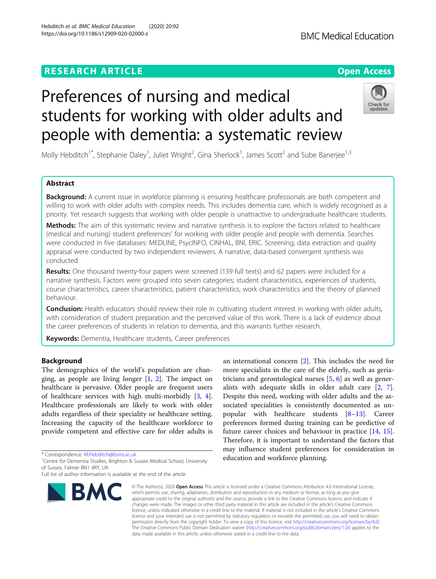# **RESEARCH ARTICLE Example 2014 12:30 The Contract of Contract ACCESS**

https://doi.org/10.1186/s12909-020-02000-z

# Preferences of nursing and medical students for working with older adults and people with dementia: a systematic review

Molly Hebditch<sup>1\*</sup>, Stephanie Daley<sup>1</sup>, Juliet Wright<sup>2</sup>, Gina Sherlock<sup>1</sup>, James Scott<sup>2</sup> and Sube Banerjee<sup>1,3</sup>

# Abstract

Background: A current issue in workforce planning is ensuring healthcare professionals are both competent and willing to work with older adults with complex needs. This includes dementia care, which is widely recognised as a priority. Yet research suggests that working with older people is unattractive to undergraduate healthcare students.

Methods: The aim of this systematic review and narrative synthesis is to explore the factors related to healthcare (medical and nursing) student preferences' for working with older people and people with dementia. Searches were conducted in five databases: MEDLINE, PsycINFO, CINHAL, BNI, ERIC. Screening, data extraction and quality appraisal were conducted by two independent reviewers. A narrative, data-based convergent synthesis was conducted.

Results: One thousand twenty-four papers were screened (139 full texts) and 62 papers were included for a narrative synthesis. Factors were grouped into seven categories; student characteristics, experiences of students, course characteristics, career characteristics, patient characteristics, work characteristics and the theory of planned behaviour.

Conclusion: Health educators should review their role in cultivating student interest in working with older adults, with consideration of student preparation and the perceived value of this work. There is a lack of evidence about the career preferences of students in relation to dementia, and this warrants further research.

Keywords: Dementia, Healthcare students, Career preferences

# **Background**

The demographics of the world's population are changing, as people are living longer  $[1, 2]$  $[1, 2]$  $[1, 2]$  $[1, 2]$ . The impact on healthcare is pervasive. Older people are frequent users of healthcare services with high multi-morbidly [\[3](#page-8-0), [4](#page-8-0)]. Healthcare professionals are likely to work with older adults regardless of their speciality or healthcare setting. Increasing the capacity of the healthcare workforce to provide competent and effective care for older adults is

\* Correspondence: [M.Hebditch@bsms.ac.uk](mailto:M.Hebditch@bsms.ac.uk) <sup>1</sup>

# **BMC**

© The Author(s), 2020 **Open Access** This article is licensed under a Creative Commons Attribution 4.0 International License, which permits use, sharing, adaptation, distribution and reproduction in any medium or format, as long as you give appropriate credit to the original author(s) and the source, provide a link to the Creative Commons licence, and indicate if changes were made. The images or other third party material in this article are included in the article's Creative Commons licence, unless indicated otherwise in a credit line to the material. If material is not included in the article's Creative Commons licence and your intended use is not permitted by statutory regulation or exceeds the permitted use, you will need to obtain permission directly from the copyright holder. To view a copy of this licence, visit [http://creativecommons.org/licenses/by/4.0/.](http://creativecommons.org/licenses/by/4.0/) The Creative Commons Public Domain Dedication waiver [\(http://creativecommons.org/publicdomain/zero/1.0/](http://creativecommons.org/publicdomain/zero/1.0/)) applies to the data made available in this article, unless otherwise stated in a credit line to the data.

an international concern [[2\]](#page-8-0). This includes the need for more specialists in the care of the elderly, such as geriatricians and gerontological nurses  $[5, 6]$  $[5, 6]$  $[5, 6]$  $[5, 6]$  as well as generalists with adequate skills in older adult care [[2](#page-8-0), [7](#page-8-0)]. Despite this need, working with older adults and the associated specialities is consistently documented as unpopular with healthcare students  $[8-13]$  $[8-13]$  $[8-13]$ . Career preferences formed during training can be predictive of future career choices and behaviour in practice [[14,](#page-8-0) [15](#page-8-0)]. Therefore, it is important to understand the factors that may influence student preferences for consideration in education and workforce planning.







<sup>&</sup>lt;sup>1</sup> Centre for Dementia Studies, Brighton & Sussex Medical School, University of Sussex, Falmer BN1 9RY, UK

Full list of author information is available at the end of the article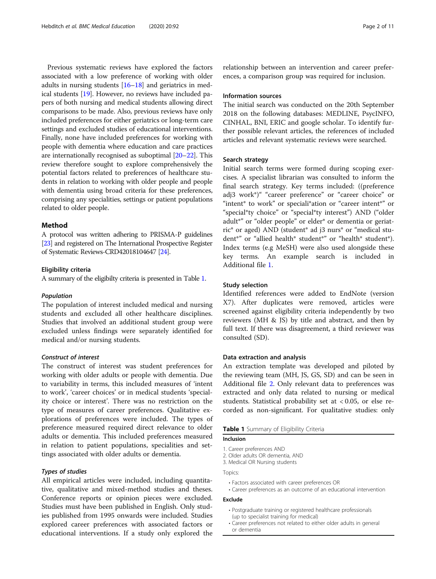Previous systematic reviews have explored the factors associated with a low preference of working with older adults in nursing students [[16](#page-8-0)–[18\]](#page-8-0) and geriatrics in medical students [\[19\]](#page-8-0). However, no reviews have included papers of both nursing and medical students allowing direct comparisons to be made. Also, previous reviews have only included preferences for either geriatrics or long-term care settings and excluded studies of educational interventions. Finally, none have included preferences for working with people with dementia where education and care practices are internationally recognised as suboptimal [\[20](#page-8-0)–[22\]](#page-8-0). This review therefore sought to explore comprehensively the potential factors related to preferences of healthcare students in relation to working with older people and people with dementia using broad criteria for these preferences, comprising any specialities, settings or patient populations related to older people.

# Method

A protocol was written adhering to PRISMA-P guidelines [[23\]](#page-8-0) and registered on The International Prospective Register of Systematic Reviews-CRD42018104647 [\[24](#page-8-0)].

#### Eligibility criteria

A summary of the eligibilty criteria is presented in Table 1.

#### Population

The population of interest included medical and nursing students and excluded all other healthcare disciplines. Studies that involved an additional student group were excluded unless findings were separately identified for medical and/or nursing students.

# Construct of interest

The construct of interest was student preferences for working with older adults or people with dementia. Due to variability in terms, this included measures of 'intent to work', 'career choices' or in medical students 'speciality choice or interest'. There was no restriction on the type of measures of career preferences. Qualitative explorations of preferences were included. The types of preference measured required direct relevance to older adults or dementia. This included preferences measured in relation to patient populations, specialities and settings associated with older adults or dementia.

# Types of studies

All empirical articles were included, including quantitative, qualitative and mixed-method studies and theses. Conference reports or opinion pieces were excluded. Studies must have been published in English. Only studies published from 1995 onwards were included. Studies explored career preferences with associated factors or educational interventions. If a study only explored the relationship between an intervention and career preferences, a comparison group was required for inclusion.

# Information sources

The initial search was conducted on the 20th September 2018 on the following databases: MEDLINE, PsycINFO, CINHAL, BNI, ERIC and google scholar. To identify further possible relevant articles, the references of included articles and relevant systematic reviews were searched.

# Search strategy

Initial search terms were formed during scoping exercises. A specialist librarian was consulted to inform the final search strategy. Key terms included: ((preference adj3 work\*)" "career preference" or "career choice" or "intent\* to work" or speciali\*ation or "career intent\*" or "special\*ty choice" or "special\*ty interest") AND ("older adult\*" or "older people" or elder\* or dementia or geriatric\* or aged) AND (student\* ad j3 nurs\* or "medical student\*" or "allied health\* student\*" or "health\* student\*). Index terms (e.g MeSH) were also used alongside these key terms. An example search is included in Additional file [1](#page-8-0).

# Study selection

Identified references were added to EndNote (version X7). After duplicates were removed, articles were screened against eligibility criteria independently by two reviewers (MH & JS) by title and abstract, and then by full text. If there was disagreement, a third reviewer was consulted (SD).

# Data extraction and analysis

An extraction template was developed and piloted by the reviewing team (MH, JS, GS, SD) and can be seen in Additional file [2](#page-8-0). Only relevant data to preferences was extracted and only data related to nursing or medical students. Statistical probability set at  $< 0.05$ , or else recorded as non-significant. For qualitative studies: only

# Table 1 Summary of Eligibility Criteria

# Inclusion

- 1. Career preferences AND
- 2. Older adults OR dementia, AND
- 3. Medical OR Nursing students

Topics:

- Factors associated with career preferences OR
- Career preferences as an outcome of an educational intervention

# Exclude

- Postgraduate training or registered healthcare professionals (up to specialist training for medical)
- Career preferences not related to either older adults in general or dementia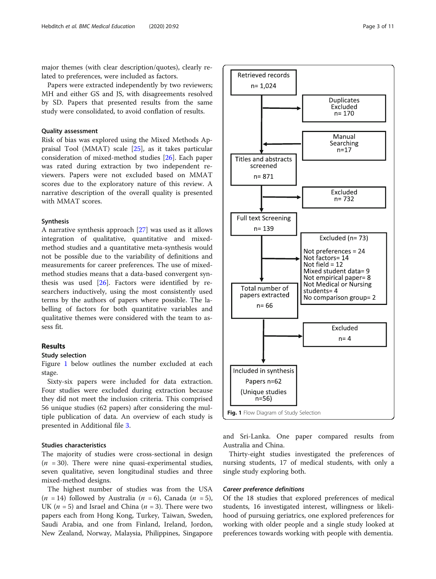major themes (with clear description/quotes), clearly related to preferences, were included as factors.

Papers were extracted independently by two reviewers; MH and either GS and JS, with disagreements resolved by SD. Papers that presented results from the same study were consolidated, to avoid conflation of results.

# Quality assessment

Risk of bias was explored using the Mixed Methods Appraisal Tool (MMAT) scale [\[25](#page-8-0)], as it takes particular consideration of mixed-method studies [[26\]](#page-9-0). Each paper was rated during extraction by two independent reviewers. Papers were not excluded based on MMAT scores due to the exploratory nature of this review. A narrative description of the overall quality is presented with MMAT scores.

#### Synthesis

A narrative synthesis approach [\[27](#page-9-0)] was used as it allows integration of qualitative, quantitative and mixedmethod studies and a quantitative meta-synthesis would not be possible due to the variability of definitions and measurements for career preferences. The use of mixedmethod studies means that a data-based convergent synthesis was used [\[26](#page-9-0)]. Factors were identified by researchers inductively, using the most consistently used terms by the authors of papers where possible. The labelling of factors for both quantitative variables and qualitative themes were considered with the team to assess fit.

# Results

# Study selection

Figure 1 below outlines the number excluded at each stage.

Sixty-six papers were included for data extraction. Four studies were excluded during extraction because they did not meet the inclusion criteria. This comprised 56 unique studies (62 papers) after considering the multiple publication of data. An overview of each study is presented in Additional file [3.](#page-8-0)

# Studies characteristics

The majority of studies were cross-sectional in design  $(n = 30)$ . There were nine quasi-experimental studies, seven qualitative, seven longitudinal studies and three mixed-method designs.

The highest number of studies was from the USA  $(n = 14)$  followed by Australia  $(n = 6)$ , Canada  $(n = 5)$ , UK ( $n = 5$ ) and Israel and China ( $n = 3$ ). There were two papers each from Hong Kong, Turkey, Taiwan, Sweden, Saudi Arabia, and one from Finland, Ireland, Jordon, New Zealand, Norway, Malaysia, Philippines, Singapore



and Sri-Lanka. One paper compared results from Australia and China.

Thirty-eight studies investigated the preferences of nursing students, 17 of medical students, with only a single study exploring both.

# Career preference definitions

Retrieved records  $n = 1.024$ 

Of the 18 studies that explored preferences of medical students, 16 investigated interest, willingness or likelihood of pursuing geriatrics, one explored preferences for working with older people and a single study looked at preferences towards working with people with dementia.

**Duplicates** Excluded  $n = 170$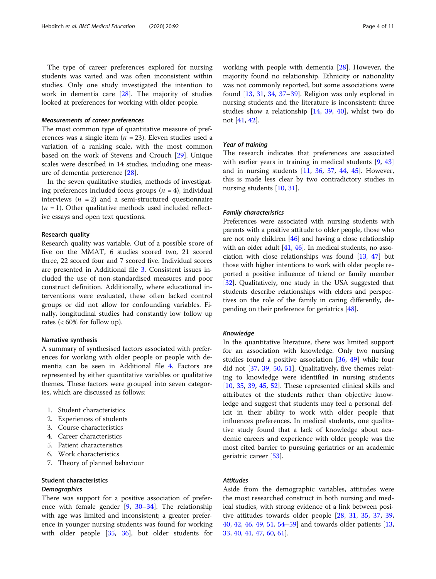The type of career preferences explored for nursing students was varied and was often inconsistent within studies. Only one study investigated the intention to work in dementia care [[28\]](#page-9-0). The majority of studies looked at preferences for working with older people.

#### Measurements of career preferences

The most common type of quantitative measure of preferences was a single item ( $n = 23$ ). Eleven studies used a variation of a ranking scale, with the most common based on the work of Stevens and Crouch [[29](#page-9-0)]. Unique scales were described in 14 studies, including one measure of dementia preference [[28](#page-9-0)].

In the seven qualitative studies, methods of investigating preferences included focus groups  $(n = 4)$ , individual interviews ( $n = 2$ ) and a semi-structured questionnaire  $(n = 1)$ . Other qualitative methods used included reflective essays and open text questions.

# Research quality

Research quality was variable. Out of a possible score of five on the MMAT, 6 studies scored two, 21 scored three, 22 scored four and 7 scored five. Individual scores are presented in Additional file [3.](#page-8-0) Consistent issues included the use of non-standardised measures and poor construct definition. Additionally, where educational interventions were evaluated, these often lacked control groups or did not allow for confounding variables. Finally, longitudinal studies had constantly low follow up rates  $\left( < 60\% \text{ for follow up} \right)$ .

# Narrative synthesis

A summary of synthesised factors associated with preferences for working with older people or people with dementia can be seen in Additional file [4.](#page-8-0) Factors are represented by either quantitative variables or qualitative themes. These factors were grouped into seven categories, which are discussed as follows:

- 1. Student characteristics
- 2. Experiences of students
- 3. Course characteristics
- 4. Career characteristics
- 5. Patient characteristics
- 6. Work characteristics
- 7. Theory of planned behaviour

# Student characteristics

# **Demographics**

There was support for a positive association of preference with female gender  $[9, 30-34]$  $[9, 30-34]$  $[9, 30-34]$  $[9, 30-34]$  $[9, 30-34]$  $[9, 30-34]$ . The relationship with age was limited and inconsistent; a greater preference in younger nursing students was found for working with older people [\[35,](#page-9-0) [36](#page-9-0)], but older students for working with people with dementia [\[28](#page-9-0)]. However, the majority found no relationship. Ethnicity or nationality was not commonly reported, but some associations were found [\[13](#page-8-0), [31](#page-9-0), [34,](#page-9-0) [37](#page-9-0)–[39\]](#page-9-0). Religion was only explored in nursing students and the literature is inconsistent: three studies show a relationship [[14](#page-8-0), [39,](#page-9-0) [40](#page-9-0)], whilst two do not [[41](#page-9-0), [42](#page-9-0)].

# Year of training

The research indicates that preferences are associated with earlier years in training in medical students [[9,](#page-8-0) [43](#page-9-0)] and in nursing students [\[11](#page-8-0), [36,](#page-9-0) [37](#page-9-0), [44,](#page-9-0) [45](#page-9-0)]. However, this is made less clear by two contradictory studies in nursing students [[10,](#page-8-0) [31\]](#page-9-0).

# Family characteristics

Preferences were associated with nursing students with parents with a positive attitude to older people, those who are not only children [[46](#page-9-0)] and having a close relationship with an older adult [[41,](#page-9-0) [46](#page-9-0)]. In medical students, no association with close relationships was found [[13](#page-8-0), [47](#page-9-0)] but those with higher intentions to work with older people reported a positive influence of friend or family member [[32](#page-9-0)]. Qualitatively, one study in the USA suggested that students describe relationships with elders and perspectives on the role of the family in caring differently, depending on their preference for geriatrics [[48](#page-9-0)].

#### Knowledge

In the quantitative literature, there was limited support for an association with knowledge. Only two nursing studies found a positive association [[36,](#page-9-0) [49](#page-9-0)] while four did not [\[37,](#page-9-0) [39,](#page-9-0) [50](#page-9-0), [51](#page-9-0)]. Qualitatively, five themes relating to knowledge were identified in nursing students [[10,](#page-8-0) [35](#page-9-0), [39,](#page-9-0) [45](#page-9-0), [52\]](#page-9-0). These represented clinical skills and attributes of the students rather than objective knowledge and suggest that students may feel a personal deficit in their ability to work with older people that influences preferences. In medical students, one qualitative study found that a lack of knowledge about academic careers and experience with older people was the most cited barrier to pursuing geriatrics or an academic geriatric career [\[53](#page-9-0)].

# Attitudes

Aside from the demographic variables, attitudes were the most researched construct in both nursing and medical studies, with strong evidence of a link between positive attitudes towards older people [[28](#page-9-0), [31,](#page-9-0) [35](#page-9-0), [37,](#page-9-0) [39](#page-9-0), [40,](#page-9-0) [42](#page-9-0), [46](#page-9-0), [49](#page-9-0), [51](#page-9-0), [54](#page-9-0)–[59](#page-9-0)] and towards older patients [[13](#page-8-0), [33,](#page-9-0) [40](#page-9-0), [41](#page-9-0), [47](#page-9-0), [60](#page-9-0), [61](#page-9-0)].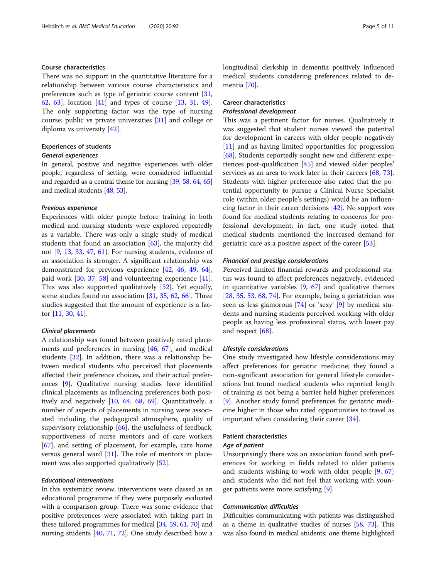# Course characteristics

There was no support in the quantitative literature for a relationship between various course characteristics and preferences such as type of geriatric course content [[31](#page-9-0), [62,](#page-9-0) [63\]](#page-9-0), location [\[41\]](#page-9-0) and types of course [\[13](#page-8-0), [31,](#page-9-0) [49](#page-9-0)]. The only supporting factor was the type of nursing course; public vs private universities [[31](#page-9-0)] and college or diploma vs university [[42\]](#page-9-0).

# Experiences of students

# General experiences

In general, positive and negative experiences with older people, regardless of setting, were considered influential and regarded as a central theme for nursing [\[39,](#page-9-0) [58,](#page-9-0) [64](#page-9-0), [65](#page-9-0)] and medical students [\[48,](#page-9-0) [53\]](#page-9-0).

### Previous experience

Experiences with older people before training in both medical and nursing students were explored repeatedly as a variable. There was only a single study of medical students that found an association  $[63]$  $[63]$ , the majority did not [[9,](#page-8-0) [13](#page-8-0), [33,](#page-9-0) [47](#page-9-0), [61\]](#page-9-0). For nursing students, evidence of an association is stronger. A significant relationship was demonstrated for previous experience [\[42,](#page-9-0) [46,](#page-9-0) [49](#page-9-0), [64](#page-9-0)], paid work [[30,](#page-9-0) [37,](#page-9-0) [58](#page-9-0)] and volunteering experience [\[41](#page-9-0)]. This was also supported qualitatively [[52\]](#page-9-0). Yet equally, some studies found no association [\[31](#page-9-0), [35](#page-9-0), [62](#page-9-0), [66\]](#page-9-0). Three studies suggested that the amount of experience is a factor [[11,](#page-8-0) [30](#page-9-0), [41](#page-9-0)].

# Clinical placements

A relationship was found between positively rated placements and preferences in nursing [[46,](#page-9-0) [67\]](#page-9-0), and medical students [[32](#page-9-0)]. In addition, there was a relationship between medical students who perceived that placements affected their preference choices, and their actual preferences [\[9](#page-8-0)]. Qualitative nursing studies have identified clinical placements as influencing preferences both positively and negatively [\[10](#page-8-0), [64,](#page-9-0) [68,](#page-9-0) [69](#page-9-0)]. Quantitatively, a number of aspects of placements in nursing were associated including the pedagogical atmosphere, quality of supervisory relationship [\[66](#page-9-0)], the usefulness of feedback, supportiveness of nurse mentors and of care workers [[67\]](#page-9-0), and setting of placement, for example, care home versus general ward [\[31](#page-9-0)]. The role of mentors in placement was also supported qualitatively [[52\]](#page-9-0).

# Educational interventions

In this systematic review, interventions were classed as an educational programme if they were purposely evaluated with a comparison group. There was some evidence that positive preferences were associated with taking part in these tailored programmes for medical [\[34,](#page-9-0) [59](#page-9-0), [61,](#page-9-0) [70\]](#page-9-0) and nursing students [\[40](#page-9-0), [71](#page-9-0), [72](#page-9-0)]. One study described how a longitudinal clerkship in dementia positively influenced medical students considering preferences related to dementia [\[70\]](#page-9-0).

# Career characteristics Professional development

This was a pertinent factor for nurses. Qualitatively it was suggested that student nurses viewed the potential for development in careers with older people negatively [[11\]](#page-8-0) and as having limited opportunities for progression [[68\]](#page-9-0). Students reportedly sought new and different experiences post-qualification [[45\]](#page-9-0) and viewed older peoples' services as an area to work later in their careers [\[68](#page-9-0), [73](#page-9-0)]. Students with higher preference also rated that the potential opportunity to pursue a Clinical Nurse Specialist role (within older people's settings) would be an influencing factor in their career decisions [[42](#page-9-0)]. No support was found for medical students relating to concerns for professional development; in fact, one study noted that medical students mentioned the increased demand for geriatric care as a positive aspect of the career [[53\]](#page-9-0).

# Financial and prestige considerations

Perceived limited financial rewards and professional status was found to affect preferences negatively, evidenced in quantitative variables  $[9, 67]$  $[9, 67]$  $[9, 67]$  and qualitative themes [[28,](#page-9-0) [35,](#page-9-0) [53,](#page-9-0) [68,](#page-9-0) [74\]](#page-10-0). For example, being a geriatrician was seen as less glamorous [[74\]](#page-10-0) or 'sexy' [[9\]](#page-8-0) by medical students and nursing students perceived working with older people as having less professional status, with lower pay and respect [[68\]](#page-9-0).

# Lifestyle considerations

One study investigated how lifestyle considerations may affect preferences for geriatric medicine; they found a non-significant association for general lifestyle considerations but found medical students who reported length of training as not being a barrier held higher preferences [[9\]](#page-8-0). Another study found preferences for geriatric medicine higher in those who rated opportunities to travel as important when considering their career [[34\]](#page-9-0).

# Patient characteristics Age of patient

Unsurprisingly there was an association found with preferences for working in fields related to older patients and; students wishing to work with older people [[9,](#page-8-0) [67](#page-9-0)] and; students who did not feel that working with younger patients were more satisfying [[9\]](#page-8-0).

# Communication difficulties

Difficulties communicating with patients was distinguished as a theme in qualitative studies of nurses [\[58,](#page-9-0) [73\]](#page-9-0). This was also found in medical students; one theme highlighted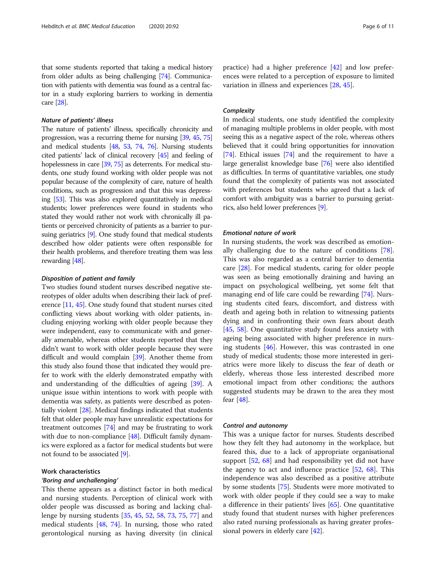that some students reported that taking a medical history from older adults as being challenging [\[74](#page-10-0)]. Communication with patients with dementia was found as a central factor in a study exploring barriers to working in dementia care [\[28\]](#page-9-0).

# Nature of patients' illness

The nature of patients' illness, specifically chronicity and progression, was a recurring theme for nursing [\[39](#page-9-0), [45,](#page-9-0) [75](#page-10-0)] and medical students [\[48,](#page-9-0) [53](#page-9-0), [74,](#page-10-0) [76](#page-10-0)]. Nursing students cited patients' lack of clinical recovery [\[45\]](#page-9-0) and feeling of hopelessness in care [[39,](#page-9-0) [75](#page-10-0)] as deterrents. For medical students, one study found working with older people was not popular because of the complexity of care, nature of health conditions, such as progression and that this was depressing [\[53](#page-9-0)]. This was also explored quantitatively in medical students; lower preferences were found in students who stated they would rather not work with chronically ill patients or perceived chronicity of patients as a barrier to pursuing geriatrics [\[9](#page-8-0)]. One study found that medical students described how older patients were often responsible for their health problems, and therefore treating them was less rewarding [[48\]](#page-9-0).

# Disposition of patient and family

Two studies found student nurses described negative stereotypes of older adults when describing their lack of preference [[11](#page-8-0), [45\]](#page-9-0). One study found that student nurses cited conflicting views about working with older patients, including enjoying working with older people because they were independent, easy to communicate with and generally amenable, whereas other students reported that they didn't want to work with older people because they were difficult and would complain [[39](#page-9-0)]. Another theme from this study also found those that indicated they would prefer to work with the elderly demonstrated empathy with and understanding of the difficulties of ageing [[39](#page-9-0)]. A unique issue within intentions to work with people with dementia was safety, as patients were described as potentially violent [[28](#page-9-0)]. Medical findings indicated that students felt that older people may have unrealistic expectations for treatment outcomes [\[74\]](#page-10-0) and may be frustrating to work with due to non-compliance [\[48\]](#page-9-0). Difficult family dynamics were explored as a factor for medical students but were not found to be associated [[9](#page-8-0)].

# Work characteristics

# 'Boring and unchallenging'

This theme appears as a distinct factor in both medical and nursing students. Perception of clinical work with older people was discussed as boring and lacking challenge by nursing students [[35](#page-9-0), [45,](#page-9-0) [52,](#page-9-0) [58,](#page-9-0) [73,](#page-9-0) [75](#page-10-0), [77](#page-10-0)] and medical students [[48,](#page-9-0) [74](#page-10-0)]. In nursing, those who rated gerontological nursing as having diversity (in clinical practice) had a higher preference [\[42](#page-9-0)] and low preferences were related to a perception of exposure to limited variation in illness and experiences [[28,](#page-9-0) [45\]](#page-9-0).

# **Complexity**

In medical students, one study identified the complexity of managing multiple problems in older people, with most seeing this as a negative aspect of the role, whereas others believed that it could bring opportunities for innovation [[74](#page-10-0)]. Ethical issues [\[74\]](#page-10-0) and the requirement to have a large generalist knowledge base [[76](#page-10-0)] were also identified as difficulties. In terms of quantitative variables, one study found that the complexity of patients was not associated with preferences but students who agreed that a lack of comfort with ambiguity was a barrier to pursuing geriatrics, also held lower preferences [[9](#page-8-0)].

# Emotional nature of work

In nursing students, the work was described as emotionally challenging due to the nature of conditions [\[78](#page-10-0)]. This was also regarded as a central barrier to dementia care [[28\]](#page-9-0). For medical students, caring for older people was seen as being emotionally draining and having an impact on psychological wellbeing, yet some felt that managing end of life care could be rewarding [[74](#page-10-0)]. Nursing students cited fears, discomfort, and distress with death and ageing both in relation to witnessing patients dying and in confronting their own fears about death [[45,](#page-9-0) [58](#page-9-0)]. One quantitative study found less anxiety with ageing being associated with higher preference in nursing students [\[46](#page-9-0)]. However, this was contrasted in one study of medical students; those more interested in geriatrics were more likely to discuss the fear of death or elderly, whereas those less interested described more emotional impact from other conditions; the authors suggested students may be drawn to the area they most fear [\[48\]](#page-9-0).

#### Control and autonomy

This was a unique factor for nurses. Students described how they felt they had autonomy in the workplace, but feared this, due to a lack of appropriate organisational support [\[52,](#page-9-0) [68](#page-9-0)] and had responsibility yet did not have the agency to act and influence practice [\[52](#page-9-0), [68\]](#page-9-0). This independence was also described as a positive attribute by some students [[75](#page-10-0)]. Students were more motivated to work with older people if they could see a way to make a difference in their patients' lives  $[65]$ . One quantitative study found that student nurses with higher preferences also rated nursing professionals as having greater professional powers in elderly care [[42](#page-9-0)].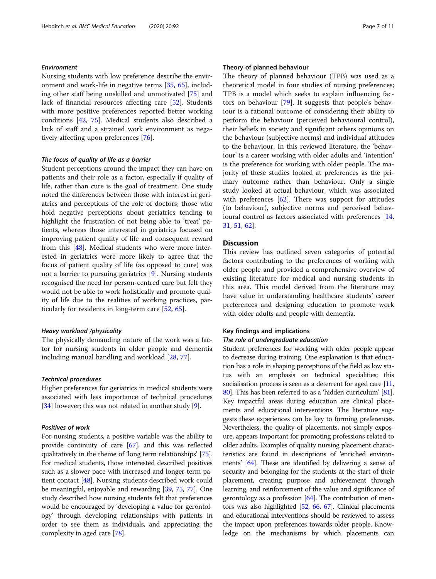# Environment

Nursing students with low preference describe the environment and work-life in negative terms [[35,](#page-9-0) [65\]](#page-9-0), including other staff being unskilled and unmotivated [\[75](#page-10-0)] and lack of financial resources affecting care [[52](#page-9-0)]. Students with more positive preferences reported better working conditions [[42](#page-9-0), [75](#page-10-0)]. Medical students also described a lack of staff and a strained work environment as negatively affecting upon preferences [[76](#page-10-0)].

# The focus of quality of life as a barrier

Student perceptions around the impact they can have on patients and their role as a factor, especially if quality of life, rather than cure is the goal of treatment. One study noted the differences between those with interest in geriatrics and perceptions of the role of doctors; those who hold negative perceptions about geriatrics tending to highlight the frustration of not being able to 'treat' patients, whereas those interested in geriatrics focused on improving patient quality of life and consequent reward from this [[48\]](#page-9-0). Medical students who were more interested in geriatrics were more likely to agree that the focus of patient quality of life (as opposed to cure) was not a barrier to pursuing geriatrics [[9\]](#page-8-0). Nursing students recognised the need for person-centred care but felt they would not be able to work holistically and promote quality of life due to the realities of working practices, particularly for residents in long-term care [\[52](#page-9-0), [65\]](#page-9-0).

# Heavy workload /physicality

The physically demanding nature of the work was a factor for nursing students in older people and dementia including manual handling and workload [\[28](#page-9-0), [77](#page-10-0)].

# Technical procedures

Higher preferences for geriatrics in medical students were associated with less importance of technical procedures [[34](#page-9-0)] however; this was not related in another study [\[9\]](#page-8-0).

# Positives of work

For nursing students, a positive variable was the ability to provide continuity of care [\[67\]](#page-9-0), and this was reflected qualitatively in the theme of 'long term relationships' [[75](#page-10-0)]. For medical students, those interested described positives such as a slower pace with increased and longer-term patient contact [[48](#page-9-0)]. Nursing students described work could be meaningful, enjoyable and rewarding [\[39,](#page-9-0) [75,](#page-10-0) [77\]](#page-10-0). One study described how nursing students felt that preferences would be encouraged by 'developing a value for gerontology' through developing relationships with patients in order to see them as individuals, and appreciating the complexity in aged care [[78\]](#page-10-0).

# Theory of planned behaviour

The theory of planned behaviour (TPB) was used as a theoretical model in four studies of nursing preferences; TPB is a model which seeks to explain influencing factors on behaviour [[79\]](#page-10-0). It suggests that people's behaviour is a rational outcome of considering their ability to perform the behaviour (perceived behavioural control), their beliefs in society and significant others opinions on the behaviour (subjective norms) and individual attitudes to the behaviour. In this reviewed literature, the 'behaviour' is a career working with older adults and 'intention' is the preference for working with older people. The majority of these studies looked at preferences as the primary outcome rather than behaviour. Only a single study looked at actual behaviour, which was associated with preferences [[62\]](#page-9-0). There was support for attitudes (to behaviour), subjective norms and perceived behavioural control as factors associated with preferences [[14](#page-8-0), [31,](#page-9-0) [51](#page-9-0), [62](#page-9-0)].

# **Discussion**

This review has outlined seven categories of potential factors contributing to the preferences of working with older people and provided a comprehensive overview of existing literature for medical and nursing students in this area. This model derived from the literature may have value in understanding healthcare students' career preferences and designing education to promote work with older adults and people with dementia.

# Key findings and implications

#### The role of undergraduate education

Student preferences for working with older people appear to decrease during training. One explanation is that education has a role in shaping perceptions of the field as low status with an emphasis on technical specialities; this socialisation process is seen as a deterrent for aged care [\[11](#page-8-0), [80](#page-10-0)]. This has been referred to as a 'hidden curriculum' [\[81](#page-10-0)]. Key impactful areas during education are clinical placements and educational interventions. The literature suggests these experiences can be key to forming preferences. Nevertheless, the quality of placements, not simply exposure, appears important for promoting professions related to older adults. Examples of quality nursing placement characteristics are found in descriptions of 'enriched environments' [[64](#page-9-0)]. These are identified by delivering a sense of security and belonging for the students at the start of their placement, creating purpose and achievement through learning, and reinforcement of the value and significance of gerontology as a profession [[64](#page-9-0)]. The contribution of mentors was also highlighted [[52](#page-9-0), [66,](#page-9-0) [67\]](#page-9-0). Clinical placements and educational interventions should be reviewed to assess the impact upon preferences towards older people. Knowledge on the mechanisms by which placements can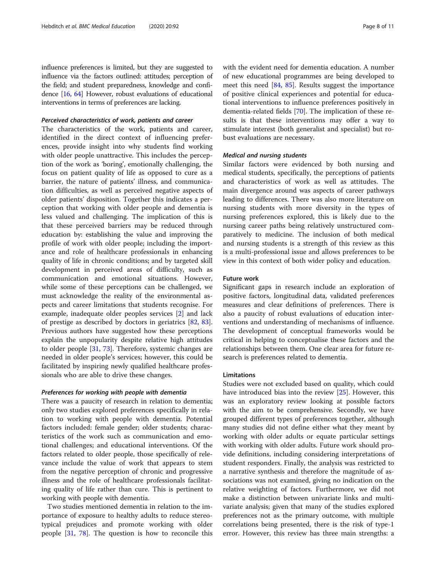influence preferences is limited, but they are suggested to influence via the factors outlined: attitudes; perception of the field; and student preparedness, knowledge and confidence [\[16,](#page-8-0) [64\]](#page-9-0) However, robust evaluations of educational interventions in terms of preferences are lacking.

# Perceived characteristics of work, patients and career

The characteristics of the work, patients and career, identified in the direct context of influencing preferences, provide insight into why students find working with older people unattractive. This includes the perception of the work as 'boring', emotionally challenging, the focus on patient quality of life as opposed to cure as a barrier, the nature of patients' illness, and communication difficulties, as well as perceived negative aspects of older patients' disposition. Together this indicates a perception that working with older people and dementia is less valued and challenging. The implication of this is that these perceived barriers may be reduced through education by: establishing the value and improving the profile of work with older people; including the importance and role of healthcare professionals in enhancing quality of life in chronic conditions; and by targeted skill development in perceived areas of difficulty, such as communication and emotional situations. However, while some of these perceptions can be challenged, we must acknowledge the reality of the environmental aspects and career limitations that students recognise. For example, inadequate older peoples services [\[2](#page-8-0)] and lack of prestige as described by doctors in geriatrics [[82,](#page-10-0) [83](#page-10-0)]. Previous authors have suggested how these perceptions explain the unpopularity despite relative high attitudes to older people [[31](#page-9-0), [73](#page-9-0)]. Therefore, systemic changes are needed in older people's services; however, this could be facilitated by inspiring newly qualified healthcare professionals who are able to drive these changes.

# Preferences for working with people with dementia

There was a paucity of research in relation to dementia; only two studies explored preferences specifically in relation to working with people with dementia. Potential factors included: female gender; older students; characteristics of the work such as communication and emotional challenges; and educational interventions. Of the factors related to older people, those specifically of relevance include the value of work that appears to stem from the negative perception of chronic and progressive illness and the role of healthcare professionals facilitating quality of life rather than cure. This is pertinent to working with people with dementia.

Two studies mentioned dementia in relation to the importance of exposure to healthy adults to reduce stereotypical prejudices and promote working with older people [\[31](#page-9-0), [78\]](#page-10-0). The question is how to reconcile this with the evident need for dementia education. A number of new educational programmes are being developed to meet this need [[84,](#page-10-0) [85\]](#page-10-0). Results suggest the importance of positive clinical experiences and potential for educational interventions to influence preferences positively in dementia-related fields [[70](#page-9-0)]. The implication of these results is that these interventions may offer a way to stimulate interest (both generalist and specialist) but robust evaluations are necessary.

# Medical and nursing students

Similar factors were evidenced by both nursing and medical students, specifically, the perceptions of patients and characteristics of work as well as attitudes. The main divergence around was aspects of career pathways leading to differences. There was also more literature on nursing students with more diversity in the types of nursing preferences explored, this is likely due to the nursing career paths being relatively unstructured comparatively to medicine. The inclusion of both medical and nursing students is a strength of this review as this is a multi-professional issue and allows preferences to be view in this context of both wider policy and education.

# Future work

Significant gaps in research include an exploration of positive factors, longitudinal data, validated preferences measures and clear definitions of preferences. There is also a paucity of robust evaluations of education interventions and understanding of mechanisms of influence. The development of conceptual frameworks would be critical in helping to conceptualise these factors and the relationships between them. One clear area for future research is preferences related to dementia.

# Limitations

Studies were not excluded based on quality, which could have introduced bias into the review [\[25\]](#page-8-0). However, this was an exploratory review looking at possible factors with the aim to be comprehensive. Secondly, we have grouped different types of preferences together, although many studies did not define either what they meant by working with older adults or equate particular settings with working with older adults. Future work should provide definitions, including considering interpretations of student responders. Finally, the analysis was restricted to a narrative synthesis and therefore the magnitude of associations was not examined, giving no indication on the relative weighting of factors. Furthermore, we did not make a distinction between univariate links and multivariate analysis; given that many of the studies explored preferences not as the primary outcome, with multiple correlations being presented, there is the risk of type-1 error. However, this review has three main strengths: a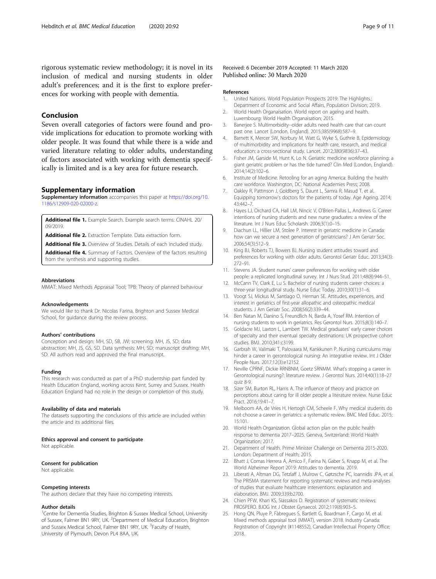<span id="page-8-0"></span>rigorous systematic review methodology; it is novel in its inclusion of medical and nursing students in older adult's preferences; and it is the first to explore preferences for working with people with dementia.

# Conclusion

Seven overall categories of factors were found and provide implications for education to promote working with older people. It was found that while there is a wide and varied literature relating to older adults, understanding of factors associated with working with dementia specifically is limited and is a key area for future research.

#### Supplementary information

Supplementary information accompanies this paper at [https://doi.org/10.](https://doi.org/10.1186/s12909-020-02000-z) [1186/s12909-020-02000-z.](https://doi.org/10.1186/s12909-020-02000-z)

Additional file 1. Example Search. Example search terms: CINAHL 20/ 09/2019.

Additional file 2. Extraction Template. Data extraction form.

Additional file 3. Overview of Studies. Details of each included study.

Additional file 4. Summary of Factors. Overview of the factors resulting from the synthesis and supporting studies.

#### Abbreviations

MMAT: Mixed Methods Appraisal Tool; TPB: Theory of planned behaviour

#### Acknowledgements

We would like to thank Dr. Nicolas Farina, Brighton and Sussex Medical School, for guidance during the review process.

#### Authors' contributions

Conception and design: MH, SD, SB, JW; screening: MH, JS, SD; data abstraction: MH, JS, GS, SD. Data synthesis: MH, SD; manuscript drafting: MH, SD. All authors read and approved the final manuscript.

#### Funding

This research was conducted as part of a PhD studentship part funded by Health Education England, working across Kent, Surrey and Sussex. Health Education England had no role in the design or completion of this study.

#### Availability of data and materials

The datasets supporting the conclusions of this article are included within the article and its additional files.

#### Ethics approval and consent to participate

Not applicable.

#### Consent for publication

Not applicable.

#### Competing interests

The authors declare that they have no competing interests.

# Author details

<sup>1</sup>Centre for Dementia Studies, Brighton & Sussex Medical School, University of Sussex, Falmer BN1 9RY, UK. <sup>2</sup>Department of Medical Education, Brighton and Sussex Medical School, Falmer BN1 9RY, UK. <sup>3</sup>Faculty of Health, University of Plymouth, Devon PL4 8AA, UK.

# Received: 6 December 2019 Accepted: 11 March 2020 Published online: 30 March 2020

#### References

- 1. United Nations. World Population Prospects 2019: The Highlights.: Department of Economic and Social Affairs, Population Division; 2019.
- 2. World Health Organaisation. World report on ageing and health. Luxembourg: World Health Organaisation; 2015.
- 3. Banerjee S. Multimorbidity--older adults need health care that can count past one. Lancet (London, England). 2015;385(9968):587–9.
- 4. Barnett K, Mercer SW, Norbury M, Watt G, Wyke S, Guthrie B. Epidemiology of multimorbidity and implications for health care, research, and medical education: a cross-sectional study. Lancet. 2012;380(9836):37–43.
- 5. Fisher JM, Garside M, Hunt K, Lo N. Geriatric medicine workforce planning: a giant geriatric problem or has the tide turned? Clin Med (London, England). 2014;14(2):102–6.
- 6. Institute of Medicine. Retooling for an aging America: Building the health care workforce. Washington, DC: National Academies Press; 2008.
- 7. Oakley R, Pattinson J, Goldberg S, Daunt L, Samra R, Masud T, et al. Equipping tomorrow's doctors for the patients of today. Age Ageing. 2014; 43:442–7.
- 8. Hayes LJ, Orchard CA, Hall LM, Nincic V, O'Brien-Pallas L, Andrews G. Career intentions of nursing students and new nurse graduates: a review of the literature. Int J Nurs Educ Scholarsh. 2006;3(1):0–15.
- 9. Diachun LL, Hillier LM, Stolee P. Interest in geriatric medicine in Canada: how can we secure a next generation of geriatricians? J Am Geriatr Soc. 2006;54(3):512–9.
- 10. King BJ, Roberts TJ, Bowers BJ. Nursing student attitudes toward and preferences for working with older adults. Gerontol Geriatr Educ. 2013;34(3): 272–91.
- 11. Stevens JA. Student nurses' career preferences for working with older people: a replicated longitudinal survey. Int J Nurs Stud. 2011;48(8):944–51.
- 12. McCann TV, Clark E, Lu S. Bachelor of nursing students career choices: a three-year longitudinal study. Nurse Educ Today. 2010;30(1):31–6.
- 13. Voogt SJ, Mickus M, Santiago O, Herman SE. Attitudes, experiences, and interest in geriatrics of first-year allopathic and osteopathic medical students. J Am Geriatr Soc. 2008;56(2):339–44.
- 14. Ben Natan M, Danino S, Freundlich N, Barda A, Yosef RM. Intention of nursing students to work in geriatrics. Res Gerontol Nurs. 2015;8(3):140–7.
- 15. Goldacre MJ, Laxton L, Lambert TW. Medical graduates' early career choices of specialty and their eventual specialty destinations: UK prospective cohort studies. BMJ. 2010;341:c3199.
- 16. Garbrah W, Valimaki T, Palovaara M, Kankkunen P. Nursing curriculums may hinder a career in gerontological nursing: An integrative review. Int J Older People Nurs. 2017;12(3):e12152.
- 17. Neville CPRNF, Dickie RRNBNM, Goetz SRNMM. What's stopping a career in Gerontological nursing?: literature review. J Gerontol Nurs. 2014;40(1):18–27 quiz 8-9.
- 18. Sizer SM, Burton RL, Harris A. The influence of theory and practice on perceptions about caring for ill older people a literature review. Nurse Educ Pract. 2016;19:41–7.
- 19. Meiboom AA, de Vries H, Hertogh CM, Scheele F. Why medical students do not choose a career in geriatrics: a systematic review. BMC Med Educ. 2015; 15:101.
- 20. World Health Organization. Global action plan on the public health response to dementia 2017–2025. Geneva, Switzerland: World Health Organization; 2017.
- 21. Department of Health. Prime Minister Challenge on Dementia 2015-2020. London: Department of Health; 2015.
- 22. Bhatt J, Comas Herrera A, Amico F, Farina N, Gaber S, Knapp M, et al. The World Alzheimer Report 2019: Attitudes to dementia. 2019.
- 23. Liberati A, Altman DG, Tetzlaff J, Mulrow C, Gøtzsche PC, Ioannidis JPA, et al. The PRISMA statement for reporting systematic reviews and meta-analyses of studies that evaluate healthcare interventions: explanation and elaboration. BMJ. 2009;339:b2700.
- 24. Chien PFW, Khan KS, Siassakos D. Registration of systematic reviews: PROSPERO. BJOG Int J Obstet Gynaecol. 2012;119(8):903–5.
- 25. Hong QN, Pluye P, Fàbregues S, Bartlett G, Boardman F, Cargo M, et al. Mixed methods appraisal tool (MMAT), version 2018. Industry Canada: Registration of Copyright (#1148552), Canadian Intellectual Property Office; 2018.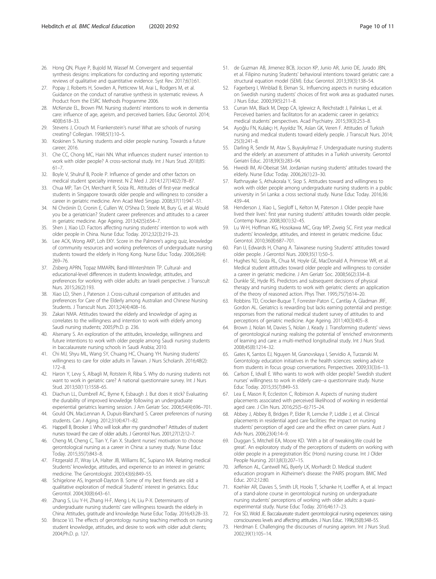- <span id="page-9-0"></span>26. Hong QN, Pluye P, Bujold M, Wassef M. Convergent and sequential synthesis designs: implications for conducting and reporting systematic reviews of qualitative and quantitative evidence. Syst Rev. 2017;6(1):61.
- 27. Popay J, Roberts H, Sowden A, Petticrew M, Arai L, Rodgers M, et al. Guidance on the conduct of narrative synthesis in systematic reviews. A Product from the ESRC Methods Programme 2006.
- 28. McKenzie EL, Brown PM. Nursing students' intentions to work in dementia care: influence of age, ageism, and perceived barriers. Educ Gerontol. 2014; 40(8):618–33.
- 29. Stevens J, Crouch M. Frankenstein's nurse! What are schools of nursing creating? Collegian. 1998;5(1):10–5.
- 30. Koskinen S. Nursing students and older people nursing. Towards a future career; 2016.
- 31. Che CC, Chong MC, Hairi NN. What influences student nurses' intention to work with older people? A cross-sectional study. Int J Nurs Stud. 2018;85: 61–7.
- 32. Boyle V, Shulruf B, Poole P. Influence of gender and other factors on medical student specialty interest. N Z Med J. 2014;127(1402):78–87.
- 33. Chua MP, Tan CH, Merchant R, Soiza RL. Attitudes of first-year medical students in Singapore towards older people and willingness to consider a career in geriatric medicine. Ann Acad Med Singap. 2008;37(11):947–51.
- 34. Ní Chróinín D, Cronin E, Cullen W, O'Shea D, Steele M, Bury G, et al. Would you be a geriatrician? Student career preferences and attitudes to a career in geriatric medicine. Age Ageing. 2013;42(5):654–7.
- 35. Shen J, Xiao LD. Factors affecting nursing students' intention to work with older people in China. Nurse Educ Today. 2012;32(3):219–23.
- 36. Lee ACK, Wong AKP, Loh EKY. Score in the Palmore's aging quiz, knowledge of community resources and working preferences of undergraduate nursing students toward the elderly in Hong Kong. Nurse Educ Today. 2006;26(4): 269–76.
- 37. Zisberg APRN, Topaz MMARN, Band-Wintershtein TP. Cultural- and educational-level differences in students knowledge, attitudes, and preferences for working with older adults: an Israeli perspective. J Transcult Nurs. 2015;26(2):193.
- 38. Xiao LD, Shen J, Paterson J. Cross-cultural comparison of attitudes and preferences for Care of the Elderly among Australian and Chinese Nursing Students. J Transcult Nurs. 2013;24(4):408–16.
- 39. Zakari NMA. Attitudes toward the elderly and knowledge of aging as correlates to the willingness and intention to work with elderly among Saudi nursing students; 2005;Ph.D. p. 236.
- 40. Alsenany S. An exploration of the attitudes, knowledge, willingness and future intentions to work with older people among Saudi nursing students in baccalaureate nursing schools in Saudi Arabia; 2010.
- 41. Chi MJ, Shyu ML, Wang SY, Chuang HC, Chuang YH. Nursing students' willingness to care for older adults in Taiwan. J Nurs Scholarsh. 2016;48(2): 172–8.
- 42. Haron Y, Levy S, Albagli M, Rotstein R, Riba S. Why do nursing students not want to work in geriatric care? A national questionnaire survey. Int J Nurs Stud. 2013;50(11):1558–65.
- 43. Diachun LL, Dumbrell AC, Byrne K, Esbaugh J. But does it stick? Evaluating the durability of improved knowledge following an undergraduate experiential geriatrics learning session. J Am Geriatr Soc. 2006;54(4):696–701.
- 44. Gould ON, MacLennan A, Dupuis-Blanchard S. Career preferences of nursing students. Can J Aging. 2012;31(4):471–82.
- 45. Happell B, Brooker J. Who will look after my grandmother? Attitudes of student nurses toward the care of older adults. J Gerontol Nurs. 2001;27(12):12–7.
- 46. Cheng M, Cheng C, Tian Y, Fan X. Student nurses' motivation to choose gerontological nursing as a career in China: a survey study. Nurse Educ Today. 2015;35(7):843–8.
- 47. Fitzgerald JT, Wray LA, Halter JB, Williams BC, Supiano MA. Relating medical Students' knowledge, attitudes, and experience to an interest in geriatric medicine. The Gerontologist. 2003;43(6):849–55.
- 48. Schigelone AS, Ingersoll-Dayton B. Some of my best friends are old: a qualitative exploration of medical Students' interest in geriatrics. Educ Gerontol. 2004;30(8):643–61.
- 49. Zhang S, Liu Y-H, Zhang H-F, Meng L-N, Liu P-X. Determinants of undergraduate nursing students' care willingness towards the elderly in China: Attitudes, gratitude and knowledge. Nurse Educ Today. 2016;43:28–33.
- 50. Briscoe VJ. The effects of gerontology nursing teaching methods on nursing student knowledge, attitudes, and desire to work with older adult clients; 2004;Ph.D. p. 127.
- 51. de Guzman AB, Jimenez BCB, Jocson KP, Junio AR, Junio DE, Jurado JBN, et al. Filipino nursing Students' behavioral intentions toward geriatric care: a structural equation model (SEM). Educ Gerontol. 2013;39(3):138–54.
- 52. Fagerberg I, Winblad B, Ekman SL. Influencing aspects in nursing education on Swedish nursing students' choices of first work area as graduated nurses. J Nurs Educ. 2000;39(5):211–8.
- 53. Curran MA, Black M, Depp CA, Iglewicz A, Reichstadt J, Palinkas L, et al. Perceived barriers and facilitators for an academic career in geriatrics: medical students' perspectives. Acad Psychiatry. 2015;39(3):253–8.
- 54. Ayoğlu FN, Kulakçı H, Ayyıldız TK, Aslan GK, Veren F. Attitudes of Turkish nursing and medical students toward elderly people. J Transcult Nurs. 2014; 25(3):241–8.
- 55. Darling R, Sendir M, Atav S, Buyukyilmaz F. Undergraduate nursing students and the elderly: an assessment of attitudes in a Turkish university. Gerontol Geriatri Educ. 2018;39(3):283–94.
- 56. Hweidi IM, Al-Obeisat SM. Jordanian nursing students' attitudes toward the elderly. Nurse Educ Today. 2006;26(1):23–30.
- 57. Rathnayake S, Athukorala Y, Siop S. Attitudes toward and willingness to work with older people among undergraduate nursing students in a public university in Sri Lanka: a cross sectional study. Nurse Educ Today. 2016;36: 439–44.
- 58. Henderson J, Xiao L, Siegloff L, Kelton M, Paterson J. Older people have lived their lives': first year nursing students' attitudes towards older people. Contemp Nurse. 2008;30(1):32–45.
- 59. Lu W-H, Hoffman KG, Hosokawa MC, Gray MP, Zweig SC. First year medical students' knowledge, attitudes, and interest in geriatric medicine. Educ Gerontol. 2010;36(8):687–701.
- 60. Pan IJ, Edwards H, Chang A. Taiwanese nursing Students' attitudes toward older people. J Gerontol Nurs. 2009;35(11):50–5.
- 61. Hughes NJ, Soiza RL, Chua M, Hoyle GE, MacDonald A, Primrose WR, et al. Medical student attitudes toward older people and willingness to consider a career in geriatric medicine. J Am Geriatr Soc. 2008;56(2):334–8.
- 62. Dunkle SE, Hyde RS. Predictors and subsequent decisions of physical therapy and nursing students to work with geriatric clients: an application of the theory of reasoned action. Phys Ther. 1995;75(7):614–20.
- 63. Robbins TD, Crocker-Buque T, Forrester-Paton C, Cantlay A, Gladman JRF, Gordon AL. Geriatrics is rewarding but lacks earning potential and prestige: responses from the national medical student survey of attitudes to and perceptions of geriatric medicine. Age Ageing. 2011;40(3):405–8.
- 64. Brown J, Nolan M, Davies S, Nolan J, Keady J. Transforming students' views of gerontological nursing: realising the potential of 'enriched' environments of learning and care: a multi-method longitudinal study. Int J Nurs Stud. 2008;45(8):1214–32.
- 65. Gates K, Santos EJ, Nguyen M, Granovskaya I, Servidio A, Turzanski M. Gerontology education initiatives in the health sciences: seeking advice from students in focus group conversations. Perspectives. 2009;33(3):6–13.
- 66. Carlson E, Idvall E. Who wants to work with older people? Swedish student nurses' willingness to work in elderly care--a questionnaire study. Nurse Educ Today. 2015;35(7):849–53.
- 67. Lea E, Mason R, Eccleston C, Robinson A. Aspects of nursing student placements associated with perceived likelihood of working in residential aged care. J Clin Nurs. 2016;25(5–6):715–24.
- 68. Abbey J, Abbey B, Bridges P, Elder R, Lemcke P, Liddle J, et al. Clinical placements in residential aged care facilities: the impact on nursing students' perception of aged care and the effect on career plans. Aust J Adv Nurs. 2006;23(4):14–9.
- 69. Duggan S, Mitchell EA, Moore KD. 'With a bit of tweaking.We could be great'. An exploratory study of the perceptions of students on working with older people in a preregistration BSc (Hons) nursing course. Int J Older People Nursing. 2013;8(3):207–15.
- 70. Jefferson AL, Cantwell NG, Byerly LK, Morhardt D. Medical student education program in Alzheimer's disease: the PAIRS program. BMC Med Educ. 2012;12:80.
- 71. Koehler AR, Davies S, Smith LR, Hooks T, Schanke H, Loeffler A, et al. Impact of a stand-alone course in gerontological nursing on undergraduate nursing students' perceptions of working with older adults: a quasiexperimental study. Nurse Educ Today. 2016;46:17–23.
- 72. Fox SD, Wold JE. Baccalaureate student gerontological nursing experiences: raising consciousness levels and affecting attitudes. J Nurs Educ. 1996;35(8):348–55.
- 73. Herdman E. Challenging the discourses of nursing ageism. Int J Nurs Stud. 2002;39(1):105–14.